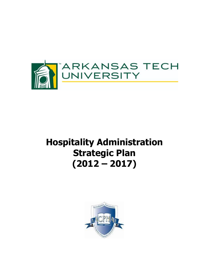

# **Hospitality Administration Strategic Plan (2012 – 2017)**

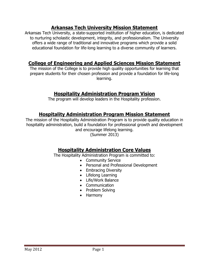# **Arkansas Tech University Mission Statement**

Arkansas Tech University, a state-supported institution of higher education, is dedicated to nurturing scholastic development, integrity, and professionalism. The University offers a wide range of traditional and innovative programs which provide a solid educational foundation for life-long learning to a diverse community of learners.

## **College of Engineering and Applied Sciences Mission Statement**

The mission of the College is to provide high quality opportunities for learning that prepare students for their chosen profession and provide a foundation for life-long learning.

## **Hospitality Administration Program Vision**

The program will develop leaders in the Hospitality profession.

## **Hospitality Administration Program Mission Statement**

The mission of the Hospitality Administration Program is to provide quality education in hospitality administration, build a foundation for professional growth and development and encourage lifelong learning.

(Summer 2013)

# **Hospitality Administration Core Values**

The Hospitality Administration Program is committed to:

- Community Service
- Personal and Professional Development
- Embracing Diversity
- Lifelong Learning
- Life/Work Balance
- Communication
- Problem Solving
- Harmony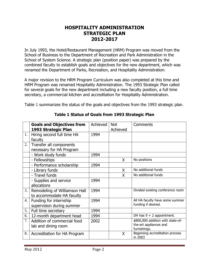## **HOSPITALITY ADMINISTRATION STRATEGIC PLAN 2012-2017**

In July 1993, the Hotel/Restaurant Management (HRM) Program was moved from the School of Business to the Department of Recreation and Park Administration in the School of System Science. A strategic plan (position paper) was prepared by the combined faculty to establish goals and objectives for the new department, which was renamed the Department of Parks, Recreation, and Hospitality Administration.

A major revision to the HRM Program Curriculum was also completed at this time and HRM Program was renamed Hospitality Administration. The 1993 Strategic Plan called for several goals for the new department including a new faculty position, a full time secretary, a commercial kitchen and accreditation for Hospitality Administration.

Table 1 summarizes the status of the goals and objectives from the 1993 strategic plan.

|    | <b>Goals and Objectives from</b><br>1993 Strategic Plan    | Achieved | <b>Not</b><br>Achieved | Comments                                                                    |
|----|------------------------------------------------------------|----------|------------------------|-----------------------------------------------------------------------------|
| 1. | Hiring second full time HA<br>faculty                      | 1994     |                        |                                                                             |
| 2. | Transfer all components<br>necessary for HA Program        |          |                        |                                                                             |
|    | - Work study funds                                         | 1994     |                        |                                                                             |
|    | - Fellowships                                              |          | X                      | No positions                                                                |
|    | - Performance scholarship                                  | 1994     |                        |                                                                             |
|    | - Library funds                                            |          | X                      | No additional funds                                                         |
|    | - Travel funds                                             |          | X                      | No additional funds                                                         |
|    | - Supplies and service                                     | 1994     |                        |                                                                             |
|    | allocations                                                |          |                        |                                                                             |
| 3. | Remodeling of Williamson Hall<br>to accommodate HA faculty | 1994     |                        | Divided existing conference room                                            |
| 4. | Funding for internship<br>supervision during summer        | 1994     |                        | All HA faculty have some summer<br>funding if desired.                      |
| 5. | Full time secretary                                        | 1994     |                        |                                                                             |
| 6. | 12-month department head                                   | 1994     |                        | DH has $9 + 2$ appointment.                                                 |
| 7. | Addition of commercial food<br>lab and dining room         | 2002     |                        | \$800,000 addition with state-of-<br>the-art appliances and<br>furnishings. |
| 8. | Accreditation for HA Program                               |          | X                      | Beginning accreditation process<br>in 2003                                  |

## **Table 1 Status of Goals from 1993 Strategic Plan**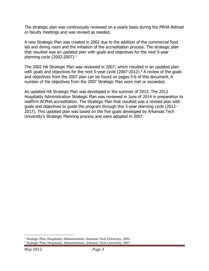The strategic plan was continuously reviewed on a yearly basis during the PRHA Retreat or faculty meetings and was revised as needed.

A new Strategic Plan was created in 2002 due to the addition of the commercial food lab and dining room and the initiation of the accreditation process. The strategic plan that resulted was an updated plan with goals and objectives for the next 5-year planning cycle (2002-2007). $1$ 

The 2002 HA Strategic Plan was reviewed in 2007; which resulted in an updated plan with goals and objectives for the next 5-year cycle  $(2007-2012)$ .<sup>2</sup> A review of the goals and objectives from the 2007 plan can be found on pages 5-6 of this document. A number of the objectives from the 2007 Strategic Plan were met or exceeded.

An updated HA Strategic Plan was developed in the summer of 2012. The 2012 Hospitality Administration Strategic Plan was reviewed in June of 2014 in preparation to reaffirm ACPHA accreditation. The Strategic Plan that resulted was a revised plan with goals and objectives to guide the program through this 5-year planning cycle (2012- 2017). This updated plan was based on the five goals developed by Arkansas Tech University's Strategic Planning process and were adopted in 2007.

 $\overline{a}$ 

<sup>&</sup>lt;sup>1</sup> Strategic Plan, Hospitality Administration, Arkansas Tech University, 2002.

<sup>2</sup> Strategic Plan, Hospitality Administration, Arkansas Tech University, 2007.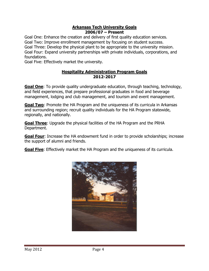#### **Arkansas Tech University Goals 2006/07 – Present**

Goal One: Enhance the creation and delivery of first quality education services. Goal Two: Improve enrollment management by focusing on student success. Goal Three: Develop the physical plant to be appropriate to the university mission. Goal Four: Expand university partnerships with private individuals, corporations, and foundations.

Goal Five: Effectively market the university.

#### **Hospitality Administration Program Goals 2012-2017**

**Goal One**: To provide quality undergraduate education, through teaching, technology, and field experiences, that prepare professional graduates in food and beverage management, lodging and club management, and tourism and event management.

**Goal Two**: Promote the HA Program and the uniqueness of its curricula in Arkansas and surrounding region; recruit quality individuals for the HA Program statewide, regionally, and nationally.

**Goal Three**: Upgrade the physical facilities of the HA Program and the PRHA Department.

**Goal Four**: Increase the HA endowment fund in order to provide scholarships; increase the support of alumni and friends.

**Goal Five**: Effectively market the HA Program and the uniqueness of its curricula.

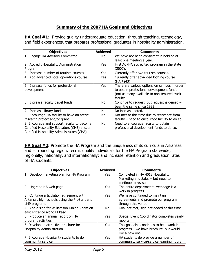### **Summary of the 2007 HA Goals and Objectives**

**HA Goal #1:** Provide quality undergraduate education, through teaching, technology, and field experiences, that prepares professional graduates in hospitality administration.

| <b>Objectives</b>                            | <b>Achieved</b> | Comments                                        |
|----------------------------------------------|-----------------|-------------------------------------------------|
| 1. Engage HA Advisory Committee              | No.             | We have not been consistent in holding at       |
|                                              |                 | least one meeting a year.                       |
| 2. Accredit Hospitality Administration       | Yes             | First ACPHA accredited program in the state     |
| Program                                      |                 | (2007).                                         |
| 3. Increase number of tourism courses        | Yes             | Currently offer two tourism courses.            |
| 4. Add advanced hotel operations course      | Yes             | Currently offer advanced lodging course         |
|                                              |                 | (HA 4243)                                       |
| 5. Increase funds for professional           | Yes             | There are various options on campus in order    |
| development                                  |                 | to obtain professional development funds        |
|                                              |                 | (not as many available to non-tenured track     |
|                                              |                 | faculty.                                        |
| 6. Increase faculty travel funds             | No              | Continue to request, but request is denied -    |
|                                              |                 | been the same since 1993.                       |
| 7. Increase library funds                    | No.             | No increase noted.                              |
| 8. Encourage HA faculty to have an active    | No.             | Not met at this time due to resistance from     |
| research project and/or grant                |                 | faculty $-$ need to encourage faculty to do so. |
| 9. Encourage and support faculty to become   | <b>No</b>       | Need to encourage faculty to obtain             |
| Certified Hospitality Educators (CHE) and/or |                 | professional development funds to do so.        |
| Certified Hospitality Administrators (CHA)   |                 |                                                 |

**HA Goal #2:** Promote the HA Program and the uniqueness of its curricula in Arkansas and surrounding region; recruit quality individuals for the HA Program statewide, regionally, nationally, and internationally; and increase retention and graduation rates of HA students.

| <b>Objectives</b>                            | <b>Achieved</b> | Comments                                                              |
|----------------------------------------------|-----------------|-----------------------------------------------------------------------|
| 1. Develop marketing plan for HA Program     | Yes             | Completed in HA 4013 Hospitality<br>Marketing and Sales - but need to |
|                                              |                 | continue to revise                                                    |
| 2. Upgrade HA web page                       | Yes             | The entire departmental webpage is a<br>work in progress              |
| 3. Continue articulation agreement with      | <b>Yes</b>      | We have continued to maintain                                         |
| Arkansas high schools using the ProStart and |                 | agreements and promote our program                                    |
| LMP programs                                 |                 | through this venue                                                    |
| 4. Add a sign for Williamson Dining Room on  | No.             | Goal not met, sign not added at this time                             |
| east entrance along El Paso                  |                 |                                                                       |
| 5. Produce an annual report on HA            | Yes             | Special Event Coordinator completes yearly                            |
| program/activities                           |                 | reports                                                               |
| 6. Develop an attractive brochure for        | Yes             | This goal also continues to be a work in                              |
| <b>Hospitality Administration</b>            |                 | progress - we have brochure, but would                                |
|                                              |                 | like a new one                                                        |
| 7. Encourage Hospitality students to do      | Yes             | HA students do provide a number of                                    |
| community service                            |                 | community service/service learning hours                              |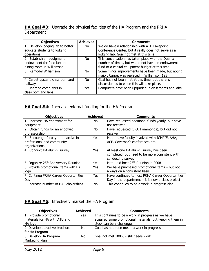**HA Goal #3**: Upgrade the physical facilities of the HA Program and the PRHA **Department** 

| <b>Objectives</b>                | <b>Achieved</b> | <b>Comments</b>                                      |
|----------------------------------|-----------------|------------------------------------------------------|
| 1. Develop lodging lab to better | No.             | We do have a relationship with ATU Lakepoint         |
| educate students to lodging      |                 | Conference Center, but it really does not serve as a |
| operations                       |                 | lodging lab. Goal not met at this time.              |
| 2. Establish an equipment        | No.             | This conversation has taken place with the Dean a    |
| endowment for food lab and       |                 | number of times, but we do not have an endowment     |
| dining room in Williamson        |                 | fund or a capital equipment budget at this time.     |
| 3. Remodel Williamson            | No.             | Some minor improvements have been made, but noting   |
|                                  |                 | major. Carpet was replaced in Williamson 125         |
| 4. Carpet upstairs classroom and | No.             | Goal has not been met at this time, but there is     |
| hallway                          |                 | discussion as to when this will take place.          |
| 5. Upgrade computers in          | Yes             | Computers have been upgraded in classrooms and labs. |
| classroom and labs               |                 |                                                      |

## **HA Goal #4:** Increase external funding for the HA Program

| <b>Objectives</b>                                | <b>Achieved</b> | Comments                                            |
|--------------------------------------------------|-----------------|-----------------------------------------------------|
| 1. Increase HA endowment for                     | No.             | Have requested additional funds yearly, but have    |
| equipment                                        |                 | not received.                                       |
| 2. Obtain funds for an endowed                   | No.             | Have requested (J.Q. Hammonds), but did not         |
| professorship                                    |                 | receive                                             |
| 3. Encourage faculty to be active in             | Yes             | Met - have faculty involved with ICHRIE, AHA,       |
| professional and community                       |                 | ACF, Governor's conference, etc.                    |
| organizations                                    |                 |                                                     |
| 4. Conduct HA alumni survey                      | <b>Yes</b>      | At least one HA alumni survey has been              |
|                                                  |                 | completed, but need to be more consistent with      |
|                                                  |                 | conducting survey.                                  |
| 5. Organize 25 <sup>th</sup> Anniversary Reunion | Yes             | Met – did host $25th$ Reunion in 2008               |
| 6. Provide promotional items with HA             | Yes             | We have purchased promotional items $-$ but not     |
| logo                                             |                 | always on a consistent basis.                       |
| 7. Continue PRHA Career Opportunities            | <b>Yes</b>      | Have continued to host PRHA Career Opportunities    |
| Day                                              |                 | Day in the department $-$ it is now a class project |
| 8. Increase number of HA Scholarships            | No.             | This continues to be a work in progress also.       |

#### **HA Goal #5:** Effectively market the HA Program

| <b>Objectives</b>                                       | <b>Achieved</b> | <b>Comments</b>                                                                                                |
|---------------------------------------------------------|-----------------|----------------------------------------------------------------------------------------------------------------|
| 1. Provide promotional<br>materials for HA with ATU and | Yes             | This continues to be a work in progress as we have<br>acquired some promotional materials, but keeping them in |
| HA logo                                                 |                 | stock can be a challenge.                                                                                      |
| 2. Develop attractive brochure                          | No.             | Goal has not been met $-$ a work in progress                                                                   |
| for HA Program                                          |                 |                                                                                                                |
| 3. Develop HA Program                                   | No.             | Goal not met 100% - still needs work.                                                                          |
| Marketing Plan                                          |                 |                                                                                                                |
|                                                         |                 |                                                                                                                |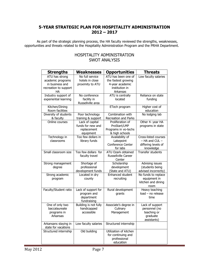#### **5-YEAR STRATEGIC PLAN FOR HOSPITALITY ADMINISTRATION 2012 – 2017**

As part of the strategic planning process, the HA faculty reviewed the strengths, weaknesses, opportunities and threats related to the Hospitality Administration Program and the PRHA Department.

#### HOSPITALITY ADMINISTRATION SWOT ANALYSIS

| <b>Strengths</b>                                                                      | <b>Weaknesses</b>                                                | <b>Opportunities</b>                                                                        | <b>Threats</b>                                                             |
|---------------------------------------------------------------------------------------|------------------------------------------------------------------|---------------------------------------------------------------------------------------------|----------------------------------------------------------------------------|
| ATU has strong<br>academic programs<br>in business and<br>recreation to support<br>НA | No full service<br>hotels in close<br>proximity to ATU           | ATU has been one of<br>the fastest growing<br>4-year academic<br>institution in<br>Arkansas | Low faculty salaries                                                       |
| Industry support of<br>experiential learning                                          | No conference<br>facility in<br>Russellville area                | ATU is centrally<br>located                                                                 | Reliance on state<br>funding                                               |
| Kitchen/Dining<br>Room facilities                                                     |                                                                  | ETech program                                                                               | Higher cost of<br>education                                                |
| Diversity of students<br>& faculty                                                    | Poor technology<br>training & support                            | Combination with<br>Recreation and Parks                                                    | No lodging lab                                                             |
| Online courses                                                                        | Lack of capital<br>funds for new and<br>replacement<br>equipment | Proliferation of<br>ProStart/LMP<br>Programs in vo-techs<br>& high schools                  | Other 4- year HA<br>programs in state                                      |
| Technology in<br>classrooms                                                           | Too few dollars in<br>library funds                              | Availability of<br>Lakepoint<br>Conference Center<br>for labs                               | Cross-listed courses<br>- HA and CUL -<br>differing levels of<br>knowledge |
| Small classroom size                                                                  | Too few dollars for<br>faculty travel                            | ATU Ozark obtained<br>Russellville Career<br>Center                                         | <b>Transfer students</b>                                                   |
| Strong management<br>degree                                                           | Shortage of<br>professional<br>development funds                 | Scholarship<br>development<br>(State and ATU)                                               | Advising issues<br>(students being<br>advised incorrectly)                 |
| Strong academic<br>program                                                            | Located in dry<br>county                                         | Enhanced student<br>recruiting                                                              | No funds to replace<br>equipment in<br>kitchen and dining<br>room          |
| Faculty/Student ratio                                                                 | Lack of support for<br>program and<br>department<br>fundraising  | Rural development<br>grants                                                                 | Heavy teaching<br>load - no release<br>time                                |
| One of only two<br>baccalaureate<br>programs in<br>Arkansas                           | Building is not fully<br>handicapped<br>accessible               | Associate's degree in<br>Culinary<br>Management                                             | Lack of support<br>personnel (no<br>teaching or<br>graduate<br>assistants) |
| Arkansans staying in<br>state for vacations                                           | Low faculty salaries                                             | Structured internship                                                                       |                                                                            |
| Structured internship                                                                 | Old building                                                     | Utilization of kitchen<br>for continuing and<br>professional<br>education                   |                                                                            |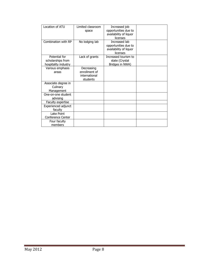| Location of ATU                                            | Limited classroom<br>space                               | Increased job<br>opportunities due to<br>availability of liquor<br>licenses |  |
|------------------------------------------------------------|----------------------------------------------------------|-----------------------------------------------------------------------------|--|
| Combination with RP                                        | No lodging lab                                           | Increased lab<br>opportunities due to<br>availability of liquor<br>licenses |  |
| Potential for<br>scholarships from<br>hospitality industry | Lack of grants                                           | Increased tourism to<br>state (Crystal<br>Bridges in NWA)                   |  |
| Various emphasis<br>areas                                  | Decreasing<br>enrollment of<br>international<br>students |                                                                             |  |
| Associate degree in<br>Culinary<br>Management              |                                                          |                                                                             |  |
| One-on-one student<br>advising                             |                                                          |                                                                             |  |
| Faculty expertise                                          |                                                          |                                                                             |  |
| Experienced adjunct<br>faculty                             |                                                          |                                                                             |  |
| Lake Point<br>Conference Center                            |                                                          |                                                                             |  |
| Four faculty<br>members                                    |                                                          |                                                                             |  |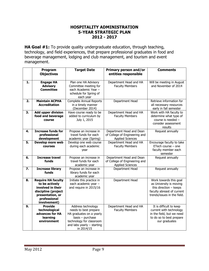#### **HOSPITALITY ADMINISTRATION 5-YEAR STRATEGIC PLAN 2012 - 2017**

**HA Goal #1:** To provide quality undergraduate education, through teaching, technology, and field experiences, that prepare professional graduates in food and beverage management, lodging and club management, and tourism and event management.

|                                                                | Program<br><b>Objectives</b>                                                                                                                | <b>Target Date</b>                                                                                                                                                      | <b>Primary person and/or</b><br>entities responsible                                 | <b>Comments</b>                                                                                                                            |
|----------------------------------------------------------------|---------------------------------------------------------------------------------------------------------------------------------------------|-------------------------------------------------------------------------------------------------------------------------------------------------------------------------|--------------------------------------------------------------------------------------|--------------------------------------------------------------------------------------------------------------------------------------------|
| $\mathbf{1}$                                                   | <b>Engage HA</b><br><b>Advisory</b><br><b>Committee</b>                                                                                     | Plan one HA Advisory<br>Committee meeting for<br>each Academic Year -<br>schedule for Spring of<br>each year                                                            | Department Head and HA<br><b>Faculty Members</b>                                     | Will be meeting in August<br>and November of 2014                                                                                          |
| 2.                                                             | <b>Maintain ACPHA</b><br><b>Accreditation</b>                                                                                               | <b>Complete Annual Reports</b><br>in a timely manner<br>(December 2014)                                                                                                 | Department Head                                                                      | Retrieve information for<br>all necessary resources<br>early in fall semester                                                              |
| <b>Add upper division</b><br>3.<br>food and beverage<br>course |                                                                                                                                             | Have course ready to be<br>added to curriculum by<br>July 1, 2015                                                                                                       | Department Head and HA<br><b>Faculty Members</b>                                     | Work with HA faculty to<br>determine what type of<br>course is needed -<br>consider assessment<br>results                                  |
| 4.                                                             | <b>Increase funds for</b><br>professional<br>development                                                                                    | Propose an increase in<br>travel funds for each<br>academic year (Spring)                                                                                               | Department Head and Dean<br>of College of Engineering and<br><b>Applied Sciences</b> | Request annually                                                                                                                           |
| 5.                                                             | Develop more web<br><b>courses</b>                                                                                                          | Develop one web course<br>during each academic<br>year                                                                                                                  | Department Head and HA<br><b>Faculty Members</b>                                     | Encourage faculty to take<br>ETech course $-$ one<br>faculty member each<br>semester                                                       |
| 6.                                                             | <b>Increase travel</b><br>funds                                                                                                             | Propose an increase in<br>travel funds for each<br>academic year                                                                                                        | Department Head and Dean<br>of College of Engineering and<br><b>Applied Sciences</b> | Request annually                                                                                                                           |
| 7.                                                             | <b>Increase library</b><br>funds                                                                                                            | Propose an increase in<br>library funds for each<br>academic year                                                                                                       | Department Head                                                                      | Request annually                                                                                                                           |
| 8.                                                             | <b>Require HA faculty</b><br>to be actively<br>involved in their<br>discipline (project<br>presentation, or<br>professional<br>involvement) | Initiate this practice in<br>each academic year -<br>and require in 2015/16                                                                                             | Department Head                                                                      | Work towards this goal<br>as University is moving<br>this direction $-$ keeps<br>faculty abreast of current<br>trends/issues in the field. |
| 9.                                                             | <b>Provide</b><br>technological<br>advances for HA<br>learning<br>environment                                                               | Address technology<br>needs to best prepare<br>HA graduates on a yearly<br>$basis - purchase$<br>technology for classroom<br>and labs yearly $-$ starting<br>in 2014/15 | Department Head and HA<br><b>Faculty Members</b>                                     | It is difficult to keep<br>current with technology<br>in the field, but we need<br>to do so to best prepare<br>our graduates               |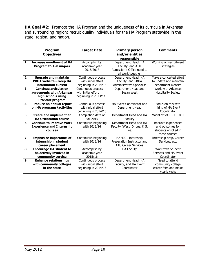**HA Goal #2:** Promote the HA Program and the uniqueness of its curricula in Arkansas and surrounding region; recruit quality individuals for the HA Program statewide in the state, region, and nation.

|    | Program<br><b>Objectives</b>                                                                              | <b>Target Date</b>                                                | <b>Primary person</b><br>and/or entities<br>responsible                                    | <b>Comments</b>                                                                  |
|----|-----------------------------------------------------------------------------------------------------------|-------------------------------------------------------------------|--------------------------------------------------------------------------------------------|----------------------------------------------------------------------------------|
| 1. | <b>Increase enrollment of HA</b><br>Program to 150 majors                                                 | Accomplish by<br>academic year<br>2016/2017                       | Department Head, HA<br>Faculty, and ATU<br>Admission's Office need to<br>all work together | Working on recruitment<br>strategies                                             |
| 2. | <b>Upgrade and maintain</b><br>PRHA website - keep HA<br>information current                              | Continuous process<br>with initial effort<br>beginning in 2014/15 | Department Head, HA<br>Faculty, and PRHA<br>Administrative Specialist                      | Make a concerted effort<br>to update and maintain<br>department website          |
| 3. | <b>Continue articulation</b><br>agreements with Arkansas<br>high schools using<br><b>ProStart program</b> | Continuous process<br>with initial effort<br>beginning in 2013/14 | Department Head and<br>Susan West                                                          | Work with Arkansas<br><b>Hospitality Society</b>                                 |
| 4. | Produce an annual report<br>on HA programs/activities                                                     | Continuous process<br>with initial effort<br>beginning in 2014/15 | <b>HA Event Coordinator and</b><br>Department Head                                         | Focus on this with<br>hiring of HA Event<br>Coordinator                          |
| 5. | <b>Create and implement an</b><br><b>HA Orientation course</b>                                            | Completion date of<br><b>Fall 2015</b>                            | Department Head and HA<br>Faculty                                                          | Model off of TECH 1001                                                           |
| 6. | <b>Continue to improve Work</b><br><b>Experience and Internship</b><br>courses                            | Continuous beginning<br>with 2013/14                              | Department Head and HA<br>Faculty (West, D. Lee, & S.<br>Lee)                              | Improve experiences<br>and outcomes for<br>students enrolled in<br>these courses |
| 7. | <b>Emphasize importance of</b><br>internship in student<br>career placement                               | Continuous beginning<br>with 2013/14                              | HA 4001 Internship<br>Preparation Instructor and<br><b>ATU Career Services</b>             | Internship prep, Career<br>Services, etc.                                        |
| 8. | <b>Encourage HA student to</b><br>be actively involved in<br>community service                            | Accomplish by<br>academic year<br>2015/16                         | <b>HA Faculty</b>                                                                          | Work with Student<br>Services and HA Event<br>Coordinator                        |
| 9. | <b>Enhance relationships</b><br>with community colleges<br>in the state                                   | Continuous process<br>with initial effort<br>beginning in 2014/15 | Department Head, HA<br>Faculty, and HA Event<br>Coordinator                                | Need to attend<br>community college<br>career fairs and make<br>yearly visits    |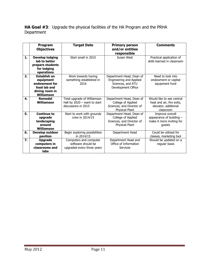**HA Goal #3**: Upgrade the physical facilities of the HA Program and the PRHA Department

|    | Program<br><b>Objectives</b>                                                                      | <b>Target Date</b>                                                                   | <b>Primary person</b><br>and/or entities<br>responsible                                              | <b>Comments</b>                                                                             |
|----|---------------------------------------------------------------------------------------------------|--------------------------------------------------------------------------------------|------------------------------------------------------------------------------------------------------|---------------------------------------------------------------------------------------------|
| 1. | <b>Develop lodging</b><br>lab to better<br>prepare students<br>for lodging<br>operations          | Start small in 2015                                                                  | Susan West                                                                                           | Practical application of<br>skills learned in classroom                                     |
| 2. | <b>Establish an</b><br>equipment<br>endowment for<br>food lab and<br>dining room in<br>Williamson | Work towards having<br>something established in<br>2016                              | Department Head, Dean of<br>Engineering and Applied<br>Sciences, and ATU<br>Development Office       | Need to look into<br>endowment or capital<br>equipment fund                                 |
| 4. | <b>Remodel</b><br>Williamson                                                                      | Total upgrade of Williamson<br>Hall by $2020 -$ want to start<br>discussions in 2015 | Department Head, Dean of<br>College of Applied<br>Sciences, and Director of<br><b>Physical Plant</b> | Would like to see central<br>heat and air, fire exits,<br>elevator, additional<br>classroom |
| 5. | <b>Continue to</b><br>upgrade<br>landscaping<br>around<br>Williamson                              | Start to work with grounds<br>crew in 2014/15                                        | Department Head, Dean of<br>College of Applied<br>Sciences, and Director of<br>Physical Plant        | Improve overall<br>appearance of building $-$<br>make it more inviting for<br>quests        |
| 6. | Develop outdoor<br>pavilion                                                                       | Begin exploring possibilities<br>in 2014/15                                          | Department Head                                                                                      | Could be utilized for<br>classes, marketing tool                                            |
| 7. | <b>Upgrade</b><br>computers in<br>classrooms and<br>labs                                          | Computers and computer<br>software should be<br>upgraded every three years           | Department Head and<br>Office of Information<br><b>Services</b>                                      | Should be updated on a<br>regular basis                                                     |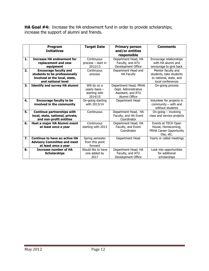**HA Goal #4:** Increase the HA endowment fund in order to provide scholarships; increase the support of alumni and friends.

|    | Program<br><b>Initiatives</b>                                                                                        | <b>Target Date</b>                                           | <b>Primary person</b><br>and/or entities<br>responsible                              | <b>Comments</b>                                                                               |
|----|----------------------------------------------------------------------------------------------------------------------|--------------------------------------------------------------|--------------------------------------------------------------------------------------|-----------------------------------------------------------------------------------------------|
| 1. | <b>Increase HA endowment for</b><br>replacement and new<br>equipment                                                 | Continuous<br>process - start in<br>2012/13                  | Department Head, HA<br>Faculty, and ATU<br>Development Office                        | Encourage relationships<br>with HA alumni and<br>encourage to give back                       |
| 2. | <b>Encourage faculty and</b><br>students to be professionally<br>involved at the local, state,<br>and national level | Continuous<br>process                                        | Department Head and<br><b>HA Faculty</b>                                             | Mentor faculty and<br>students, take students<br>to national, state, and<br>local conferences |
| 3. | <b>Identify and survey HA alumni</b>                                                                                 | Will do on a<br>yearly basis $-$<br>starting with<br>2014/15 | Department Head, PRHA<br>Dept. Administrative<br>Assistant, and ATU<br>Alumni Office | On-going process                                                                              |
| 4. | <b>Encourage faculty to be</b><br>involved in the community                                                          | On-going starting<br>with 2013/14                            | Department Head                                                                      | Volunteer for projects in<br>community - with and<br>without students                         |
| 5. | <b>Continue partnerships with</b><br>local, state, national, private,<br>and non-profit entities                     | Continuous                                                   | Department Head, HA<br>Faculty, and HA Event<br>Coordinator                          | On-going $-$ involving<br>class and service projects                                          |
| 6. | Host a major HA Alumni event<br>at least once a year                                                                 | Continuous<br>starting with 2013                             | Department Head, HA<br>Faculty, and Event<br>Coordinator                             | Events at TECH Open<br>House, Homecoming,<br>PRHA Career Opportunity<br>Day, etc.             |
| 7. | <b>Continue to have an active HA</b><br><b>Advisory Committee and meet</b><br>at least once a year                   | Spring semester<br>from this point<br>forward                | Department Head                                                                      | Yearly or called meetings                                                                     |
| 8. | <b>Increase number of HA</b><br><b>Scholarships</b>                                                                  | Would like to have<br>one added by<br>2017                   | Department Head, HA<br>Faculty, and ATU<br>Development Office                        | Look into opportunities<br>for additional<br>scholarships                                     |